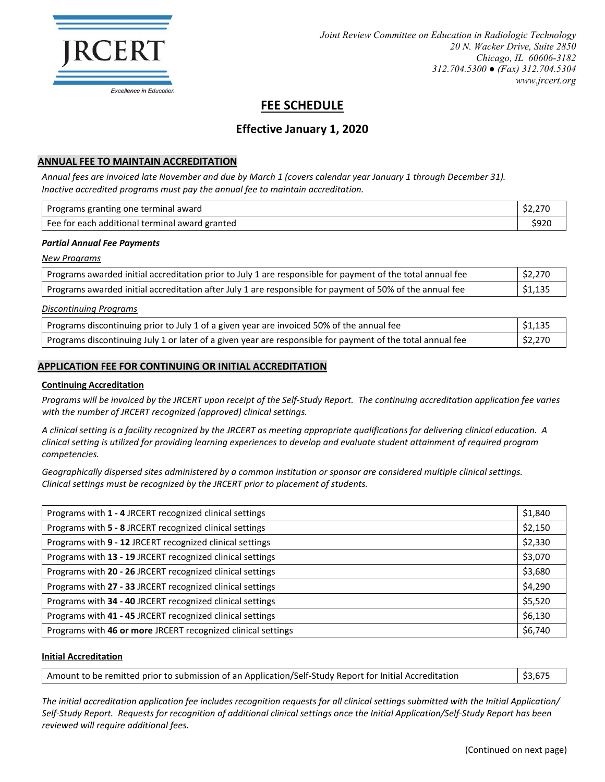

# **FEE SCHEDULE**

## **Effective January 1, 2020**

## **ANNUAL FEE TO MAINTAIN ACCREDITATION**

*Annual fees are invoiced late November and due by March 1 (covers calendar year January 1 through December 31). Inactive accredited programs must pay the annual fee to maintain accreditation.*

| Programs granting one terminal award           | \$2,270 |
|------------------------------------------------|---------|
| Fee for each additional terminal award granted | \$920   |

#### *Partial Annual Fee Payments*

*New Programs*

| Programs awarded initial accreditation prior to July 1 are responsible for payment of the total annual fee | \$2,270 |
|------------------------------------------------------------------------------------------------------------|---------|
| Programs awarded initial accreditation after July 1 are responsible for payment of 50% of the annual fee   | \$1,135 |

#### *Discontinuing Programs*

| Programs discontinuing prior to July 1 of a given year are invoiced 50% of the annual fee                  | $\frac{1}{2}$ \$1,135 |
|------------------------------------------------------------------------------------------------------------|-----------------------|
| Programs discontinuing July 1 or later of a given year are responsible for payment of the total annual fee | \$2,270               |

#### **APPLICATION FEE FOR CONTINUING OR INITIAL ACCREDITATION**

#### **Continuing Accreditation**

*Programs will be invoiced by the JRCERT upon receipt of the Self-Study Report. The continuing accreditation application fee varies with the number of JRCERT recognized (approved) clinical settings.*

*A clinical setting is a facility recognized by the JRCERT as meeting appropriate qualifications for delivering clinical education. A clinical setting is utilized for providing learning experiences to develop and evaluate student attainment of required program competencies.*

*Geographically dispersed sites administered by a common institution or sponsor are considered multiple clinical settings. Clinical settings must be recognized by the JRCERT prior to placement of students.*

| Programs with 1 - 4 JRCERT recognized clinical settings      | \$1,840 |
|--------------------------------------------------------------|---------|
| Programs with 5 - 8 JRCERT recognized clinical settings      | \$2,150 |
| Programs with 9 - 12 JRCERT recognized clinical settings     | \$2,330 |
| Programs with 13 - 19 JRCERT recognized clinical settings    | \$3,070 |
| Programs with 20 - 26 JRCERT recognized clinical settings    | \$3,680 |
| Programs with 27 - 33 JRCERT recognized clinical settings    | \$4,290 |
| Programs with 34 - 40 JRCERT recognized clinical settings    | \$5,520 |
| Programs with 41 - 45 JRCERT recognized clinical settings    | \$6,130 |
| Programs with 46 or more JRCERT recognized clinical settings | \$6,740 |

#### **Initial Accreditation**

| Amount to be remitted prior to submission of an Application/Self-Study Report for Initial Accreditation | $\frac{1}{2}$ \$3,675 |
|---------------------------------------------------------------------------------------------------------|-----------------------|
|                                                                                                         |                       |

*The initial accreditation application fee includes recognition requests for all clinical settings submitted with the Initial Application/ Self-Study Report. Requests for recognition of additional clinical settings once the Initial Application/Self-Study Report has been reviewed will require additional fees.*